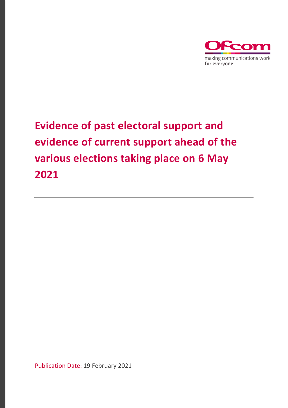

Publication Date: 19 February 2021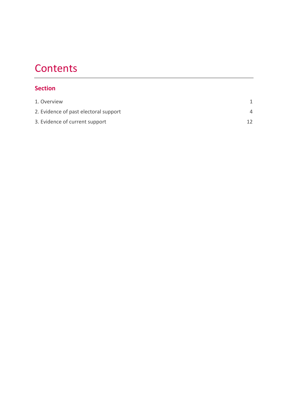# **Contents**

## **Section**

| 1. Overview                           |  |
|---------------------------------------|--|
| 2. Evidence of past electoral support |  |
| 3. Evidence of current support        |  |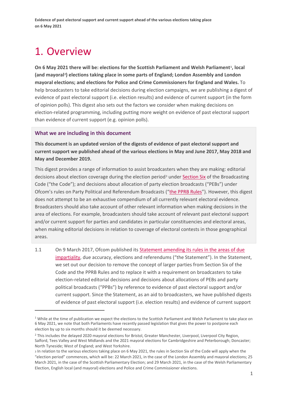# <span id="page-2-0"></span>1. Overview

**On 6 May 2021 there will be: elections for the Scottish Parliament and Welsh Parliament[1,](#page-2-1) local (and mayoral[2](#page-2-2)) elections taking place in some parts of England; London Assembly and London mayoral elections; and elections for Police and Crime Commissioners for England and Wales.** To help broadcasters to take editorial decisions during election campaigns, we are publishing a digest of evidence of past electoral support (i.e. election results) and evidence of current support (in the form of opinion polls). This digest also sets out the factors we consider when making decisions on election-related programming, including putting more weight on evidence of past electoral support than evidence of current support (e.g. opinion polls).

#### **What we are including in this document**

**This document is an updated version of the digests of evidence of past electoral support and current support we published ahead of the various elections in May and June 2017, May 2018 and May and December 2019.** 

This digest provides a range of information to assist broadcasters when they are making: editorial decisions about election coverage during the election period<sup>[3](#page-2-3)</sup> under [Section Six](https://www.ofcom.org.uk/tv-radio-and-on-demand/broadcast-codes/broadcast-code/section-six-elections-referendums) of the Broadcasting Code ("the Code"); and decisions about allocation of party election broadcasts ("PEBs") under Ofcom's rules on Party Political and Referendum Broadcasts (["the PPRB Rules"](https://www.ofcom.org.uk/__data/assets/pdf_file/0035/99188/pprb-rules-march-2017.pdf)). However, this digest does not attempt to be an exhaustive compendium of all currently relevant electoral evidence. Broadcasters should also take account of other relevant information when making decisions in the area of elections. For example, broadcasters should take account of relevant past electoral support and/or current support for parties and candidates in particular constituencies and electoral areas, when making editorial decisions in relation to coverage of electoral contests in those geographical areas.

1.1 On 9 March 2017, Ofcom published it[s Statement amending its rules in the areas of due](https://www.ofcom.org.uk/__data/assets/pdf_file/0030/98148/Due-impartiality-and-elections-statement.pdf)  [impartiality,](https://www.ofcom.org.uk/__data/assets/pdf_file/0030/98148/Due-impartiality-and-elections-statement.pdf) due accuracy, elections and referendums ("the Statement"). In the Statement, we set out our decision to remove the concept of larger parties from Section Six of the Code and the PPRB Rules and to replace it with a requirement on broadcasters to take election-related editorial decisions and decisions about allocations of PEBs and party political broadcasts ("PPBs") by reference to evidence of past electoral support and/or current support. Since the Statement, as an aid to broadcasters, we have published digests of evidence of past electoral support (i.e. election results) and evidence of current support

<span id="page-2-1"></span> $1$  While at the time of publication we expect the elections to the Scottish Parliament and Welsh Parliament to take place on 6 May 2021, we note that both Parliaments have recently passed legislation that gives the power to postpone each election by up to six months should it be deemed necessary.

<span id="page-2-2"></span><sup>&</sup>lt;sup>2</sup> This includes the delayed 2020 mayoral elections for Bristol, Greater Manchester, Liverpool, Liverpool City Region, Salford, Tees Valley and West Midlands and the 2021 mayoral elections for Cambridgeshire and Peterborough; Doncaster; North Tyneside; West of England; and West Yorkshire.

<span id="page-2-3"></span><sup>3</sup> In relation to the various elections taking place on 6 May 2021, the rules in Section Six of the Code will apply when the "election period" commences, which will be: 22 March 2021, in the case of the London Assembly and mayoral elections; 25 March 2021, in the case of the Scottish Parliamentary Election; and 29 March 2021, in the case of the Welsh Parliamentary Election, English local (and mayoral) elections and Police and Crime Commissioner elections.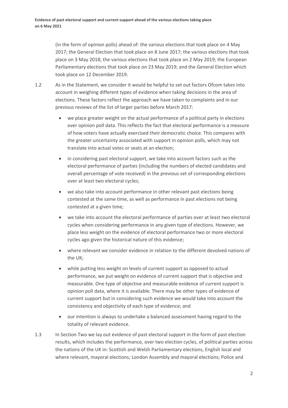(in the form of opinion polls) ahead of: the various elections that took place on 4 May 2017; the General Election that took place on 8 June 2017; the various elections that took place on 3 May 2018; the various elections that took place on 2 May 2019; the European Parliamentary elections that took place on 23 May 2019; and the General Election which took place on 12 December 2019.

- 1.2 As in the Statement, we consider it would be helpful to set out factors Ofcom takes into account in weighing different types of evidence when taking decisions in the area of elections. These factors reflect the approach we have taken to complaints and in our previous reviews of the list of larger parties before March 2017:
	- we place greater weight on the actual performance of a political party in elections over opinion poll data. This reflects the fact that electoral performance is a measure of how voters have actually exercised their democratic choice. This compares with the greater uncertainty associated with support in opinion polls, which may not translate into actual votes or seats at an election;
	- in considering past electoral support, we take into account factors such as the electoral performance of parties (including the numbers of elected candidates and overall percentage of vote received) in the previous set of corresponding elections over at least two electoral cycles;
	- we also take into account performance in other relevant past elections being contested at the same time, as well as performance in past elections not being contested at a given time;
	- we take into account the electoral performance of parties over at least two electoral cycles when considering performance in any given type of elections. However, we place less weight on the evidence of electoral performance two or more electoral cycles ago given the historical nature of this evidence;
	- where relevant we consider evidence in relation to the different devolved nations of the UK;
	- while putting less weight on levels of current support as opposed to actual performance, we put weight on evidence of current support that is objective and measurable. One type of objective and measurable evidence of current support is opinion poll data, where it is available. There may be other types of evidence of current support but in considering such evidence we would take into account the consistency and objectivity of each type of evidence; and
	- our intention is always to undertake a balanced assessment having regard to the totality of relevant evidence.
- 1.3 In Section Two we lay out evidence of past electoral support in the form of past election results, which includes the performance, over two election cycles, of political parties across the nations of the UK in: Scottish and Welsh Parliamentary elections, English local and where relevant, mayoral elections; London Assembly and mayoral elections; Police and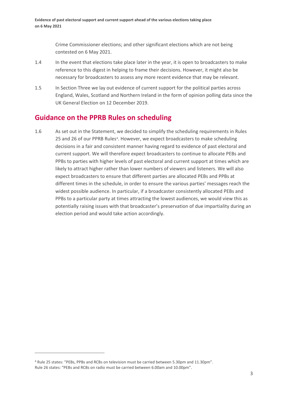Crime Commissioner elections; and other significant elections which are not being contested on 6 May 2021.

- 1.4 In the event that elections take place later in the year, it is open to broadcasters to make reference to this digest in helping to frame their decisions. However, it might also be necessary for broadcasters to assess any more recent evidence that may be relevant.
- 1.5 In Section Three we lay out evidence of current support for the political parties across England, Wales, Scotland and Northern Ireland in the form of opinion polling data since the UK General Election on 12 December 2019.

# **Guidance on the PPRB Rules on scheduling**

1.6 As set out in the Statement, we decided to simplify the scheduling requirements in Rules 25 and 26 of our PPRB Rules<sup>[4](#page-4-0)</sup>. However, we expect broadcasters to make scheduling decisions in a fair and consistent manner having regard to evidence of past electoral and current support. We will therefore expect broadcasters to continue to allocate PEBs and PPBs to parties with higher levels of past electoral and current support at times which are likely to attract higher rather than lower numbers of viewers and listeners. We will also expect broadcasters to ensure that different parties are allocated PEBs and PPBs at different times in the schedule, in order to ensure the various parties' messages reach the widest possible audience. In particular, if a broadcaster consistently allocated PEBs and PPBs to a particular party at times attracting the lowest audiences, we would view this as potentially raising issues with that broadcaster's preservation of due impartiality during an election period and would take action accordingly.

<span id="page-4-0"></span><sup>4</sup> Rule 25 states: "PEBs, PPBs and RCBs on television must be carried between 5.30pm and 11.30pm". Rule 26 states: "PEBs and RCBs on radio must be carried between 6.00am and 10.00pm".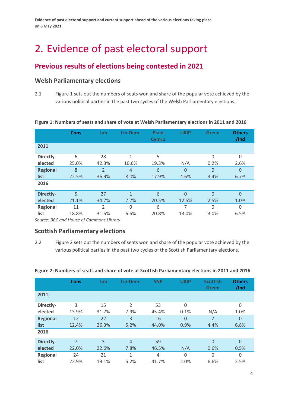# <span id="page-5-0"></span>2. Evidence of past electoral support

# **Previous results of elections being contested in 2021**

## **Welsh Parliamentary elections**

2.1 Figure 1 sets out the numbers of seats won and share of the popular vote achieved by the various political parties in the past two cycles of the Welsh Parliamentary elections.

|                 | Cons  | Lab                      | Lib-Dem.       | <b>Plaid</b><br>Cymru | <b>UKIP</b> | <b>Green</b>   | <b>Others</b><br>/Ind |
|-----------------|-------|--------------------------|----------------|-----------------------|-------------|----------------|-----------------------|
| 2011            |       |                          |                |                       |             |                |                       |
| Directly-       | 6     | 28                       | 1              | 5                     |             | 0              | $\Omega$              |
| elected         | 25.0% | 42.3%                    | 10.6%          | 19.3%                 | N/A         | 0.2%           | 2.6%                  |
| <b>Regional</b> | 8     | $\overline{\phantom{a}}$ | $\overline{4}$ | 6                     | $\Omega$    | $\overline{0}$ | $\overline{0}$        |
| list            | 22.5% | 36.9%                    | 8.0%           | 17.9%                 | 4.6%        | 3.4%           | 6.7%                  |
| 2016            |       |                          |                |                       |             |                |                       |
| Directly-       | 5     | 27                       | $\mathbf{1}$   | 6                     | $\Omega$    | $\Omega$       | $\Omega$              |
| elected         | 21.1% | 34.7%                    | 7.7%           | 20.5%                 | 12.5%       | 2.5%           | 1.0%                  |
| <b>Regional</b> | 11    | $\mathfrak{p}$           | 0              | 6                     | 7           | $\Omega$       | $\Omega$              |
| list            | 18.8% | 31.5%                    | 6.5%           | 20.8%                 | 13.0%       | 3.0%           | 6.5%                  |

#### **Figure 1: Numbers of seats and share of vote at Welsh Parliamentary elections in 2011 and 2016**

*Source: BBC and House of Commons Library*

### **Scottish Parliamentary elections**

2.2 Figure 2 sets out the numbers of seats won and share of the popular vote achieved by the various political parties in the past two cycles of the Scottish Parliamentary elections.

|                 | <b>Cons</b> | Lab   | Lib-Dem.       | <b>SNP</b> | <b>UKIP</b> | <b>Scottish</b><br><b>Green</b> | <b>Others</b><br>/Ind |
|-----------------|-------------|-------|----------------|------------|-------------|---------------------------------|-----------------------|
| 2011            |             |       |                |            |             |                                 |                       |
| Directly-       | 3           | 15    | $\mathfrak{D}$ | 53         | $\Omega$    |                                 | $\Omega$              |
| elected         | 13.9%       | 31.7% | 7.9%           | 45.4%      | 0.1%        | N/A                             | 1.0%                  |
| <b>Regional</b> | 12          | 22    | 3              | 16         | $\Omega$    | $\overline{2}$                  | $\overline{0}$        |
| list            | 12.4%       | 26.3% | 5.2%           | 44.0%      | 0.9%        | 4.4%                            | 6.8%                  |
| 2016            |             |       |                |            |             |                                 |                       |
| Directly-       | 7           | 3     | $\overline{4}$ | 59         |             | $\Omega$                        | $\Omega$              |
| elected         | 22.0%       | 22.6% | 7.8%           | 46.5%      | N/A         | 0.6%                            | 0.5%                  |
| <b>Regional</b> | 24          | 21    | 1              | 4          | $\Omega$    | 6                               | $\Omega$              |
| list            | 22.9%       | 19.1% | 5.2%           | 41.7%      | 2.0%        | 6.6%                            | 2.5%                  |

#### **Figure 2: Numbers of seats and share of vote at Scottish Parliamentary elections in 2011 and 2016**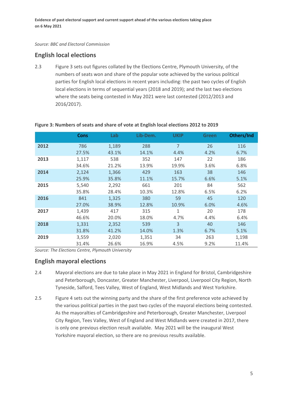#### *Source: BBC and Electoral Commission*

## **English local elections**

2.3 Figure 3 sets out figures collated by the Elections Centre, Plymouth University, of the numbers of seats won and share of the popular vote achieved by the various political parties for English local elections in recent years including: the past two cycles of English local elections in terms of sequential years (2018 and 2019); and the last two elections where the seats being contested in May 2021 were last contested (2012/2013 and 2016/2017).

|      | <b>Cons</b> | Lab   | Lib-Dem. | <b>UKIP</b>    | <b>Green</b> | Others/Ind |
|------|-------------|-------|----------|----------------|--------------|------------|
| 2012 | 786         | 1,189 | 288      | $\overline{7}$ | 26           | 116        |
|      | 27.5%       | 43.1% | 14.1%    | 4.4%           | 4.2%         | 6.7%       |
| 2013 | 1,117       | 538   | 352      | 147            | 22           | 186        |
|      | 34.6%       | 21.2% | 13.9%    | 19.9%          | 3.6%         | 6.8%       |
| 2014 | 2,124       | 1,366 | 429      | 163            | 38           | 146        |
|      | 25.9%       | 35.8% | 11.1%    | 15.7%          | 6.6%         | 5.1%       |
| 2015 | 5,540       | 2,292 | 661      | 201            | 84           | 562        |
|      | 35.8%       | 28.4% | 10.3%    | 12.8%          | 6.5%         | 6.2%       |
| 2016 | 841         | 1,325 | 380      | 59             | 45           | 120        |
|      | 27.0%       | 38.9% | 12.8%    | 10.9%          | 6.0%         | 4.6%       |
| 2017 | 1,439       | 417   | 315      | 1              | 20           | 178        |
|      | 46.6%       | 20.0% | 18.0%    | 4.7%           | 4.4%         | 6.4%       |
| 2018 | 1,331       | 2,352 | 539      | 3              | 40           | 146        |
|      | 31.8%       | 41.2% | 14.0%    | 1.3%           | 6.7%         | 5.1%       |
| 2019 | 3,559       | 2,020 | 1,351    | 34             | 263          | 1,198      |
|      | 31.4%       | 26.6% | 16.9%    | 4.5%           | 9.2%         | 11.4%      |

#### **Figure 3: Numbers of seats and share of vote at English local elections 2012 to 2019**

*Source: The Elections Centre, Plymouth University*

#### **English mayoral elections**

- 2.4 Mayoral elections are due to take place in May 2021 in England for Bristol, Cambridgeshire and Peterborough, Doncaster, Greater Manchester, Liverpool, Liverpool City Region, North Tyneside, Salford, Tees Valley, West of England, West Midlands and West Yorkshire.
- 2.5 Figure 4 sets out the winning party and the share of the first preference vote achieved by the various political parties in the past two cycles of the mayoral elections being contested. As the mayoralties of Cambridgeshire and Peterborough, Greater Manchester, Liverpool City Region, Tees Valley, West of England and West Midlands were created in 2017, there is only one previous election result available. May 2021 will be the inaugural West Yorkshire mayoral election, so there are no previous results available.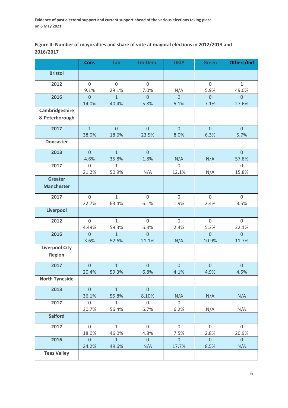**Figure 4: Number of mayoralties and share of vote at mayoral elections in 2012/2013 and 2016/2017**

|                                        | <b>Cons</b>             | Lab                     | Lib-Dem.                    | <b>UKIP</b>             | <b>Green</b>                | Others/Ind              |
|----------------------------------------|-------------------------|-------------------------|-----------------------------|-------------------------|-----------------------------|-------------------------|
| <b>Bristol</b>                         |                         |                         |                             |                         |                             |                         |
| 2012                                   | $\mathbf 0$<br>9.1%     | $\mathbf 0$<br>29.1%    | $\mathsf{O}\xspace$<br>7.0% |                         | $\mathsf{O}\xspace$<br>5.9% | $\mathbf{1}$<br>49.0%   |
| 2016                                   | $\overline{0}$<br>14.0% | $\mathbf{1}$<br>40.4%   | $\overline{0}$<br>5.8%      | $\frac{N/A}{0}$<br>5.1% | $\overline{0}$<br>7.1%      | $\overline{0}$<br>27.6% |
| Cambridgeshire<br>& Peterborough       |                         |                         |                             |                         |                             |                         |
| 2017                                   | $\mathbf{1}$<br>38.0%   | $\overline{0}$<br>18.6% | $\overline{0}$<br>23.5%     | $\overline{0}$<br>8.0%  | $\overline{0}$<br>6.3%      | $\overline{0}$<br>5.7%  |
| <b>Doncaster</b>                       |                         |                         |                             |                         |                             |                         |
| 2013                                   | $\overline{0}$<br>4.6%  | $\mathbf{1}$<br>35.8%   | $\overline{0}$<br>1.8%      | N/A                     | N/A                         | $\overline{0}$<br>57.8% |
| 2017                                   | $\mathbf 0$<br>21.2%    | $\mathbf{1}$<br>50.9%   | N/A                         | $\mathbf 0$<br>12.1%    | N/A                         | $\overline{0}$<br>15.8% |
| <b>Greater</b><br><b>Manchester</b>    |                         |                         |                             |                         |                             |                         |
| 2017                                   | $\overline{0}$<br>22.7% | $\mathbf{1}$<br>63.4%   | $\overline{0}$<br>6.1%      | $\overline{0}$<br>1.9%  | $\overline{0}$<br>2.4%      | $\mathbf 0$<br>3.5%     |
| <b>Liverpool</b>                       |                         |                         |                             |                         |                             |                         |
| 2012                                   | $\mathbf 0$<br>4.49%    | $\mathbf{1}$<br>59.3%   | $\mathsf{O}\xspace$<br>6.3% | $\mathbf 0$<br>2.4%     | $\mathsf{O}\xspace$<br>5.3% | $\mathbf 0$<br>22.1%    |
| 2016                                   | $\overline{0}$<br>3.6%  | $\mathbf{1}$<br>52.6%   | $\overline{0}$<br>21.1%     | N/A                     | $\overline{0}$<br>10.9%     | $\overline{0}$<br>11.7% |
| <b>Liverpool City</b><br><b>Region</b> |                         |                         |                             |                         |                             |                         |
| 2017                                   | $\mathbf 0$<br>20.4%    | $\mathbf{1}$<br>59.3%   | $\overline{0}$<br>6.8%      | $\overline{0}$<br>4.1%  | $\mathbf 0$<br>4.9%         | $\overline{0}$<br>4.5%  |
| <b>North Tyneside</b>                  |                         |                         |                             |                         |                             |                         |
| 2013                                   | $\overline{0}$<br>36.1% | $\overline{1}$<br>55.8% | $\overline{0}$<br>8.10%     | N/A                     | N/A                         | N/A                     |
| 2017                                   | $\mathbf 0$<br>30.7%    | $\mathbf{1}$<br>56.4%   | $\mathbf 0$<br>6.7%         | $\mathbf 0$<br>6.2%     | N/A                         | N/A                     |
| <b>Salford</b>                         |                         |                         |                             |                         |                             |                         |
| 2012                                   | $\mathbf 0$<br>18.0%    | $\mathbf{1}$<br>46.0%   | $\mathbf 0$<br>4.8%         | $\mathbf 0$<br>7.5%     | $\mathbf 0$<br>2.8%         | $\overline{0}$<br>20.9% |
| 2016                                   | $\overline{0}$<br>24.2% | $\mathbf{1}$<br>49.6%   | $\overline{0}$<br>N/A       | $\overline{0}$<br>17.7% | $\overline{0}$<br>8.5%      | $\overline{0}$<br>N/A   |
| <b>Tees Valley</b>                     |                         |                         |                             |                         |                             |                         |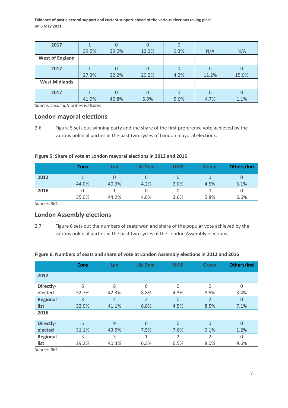| 2017                   |       |       |       |        |       |       |
|------------------------|-------|-------|-------|--------|-------|-------|
|                        | 39.5% | 39.0% | 12.3% | 9.3%   | N/A   | N/A   |
| <b>West of England</b> |       |       |       |        |       |       |
| 2017                   |       |       |       |        |       |       |
|                        | 27.3% | 22.2% | 20.2% | 4.2%   | 11.2% | 15.0% |
| <b>West Midlands</b>   |       |       |       |        |       |       |
| 2017                   |       |       | O     | $\cup$ |       |       |
|                        | 41.9% | 40.8% | 5.9%  | 5.6%   | 4.7%  | 1.1%  |

*Source: Local authorities websites*

#### **London mayoral elections**

2.6 Figure 5 sets out winning party and the share of the first preference vote achieved by the various political parties in the past two cycles of London mayoral elections.

#### **Figure 5: Share of vote at London mayoral elections in 2012 and 2016**

|      | <b>Cons</b> | Lab   | Lib-Dem. | UKIP | <b>Green</b> | Others/Ind |
|------|-------------|-------|----------|------|--------------|------------|
| 2012 |             |       |          | O    |              | O          |
|      | 44.0%       | 40.3% | 4.2%     | 2.0% | 4.5%         | 5.1%       |
| 2016 | 0           |       |          | 0    |              | U          |
|      | 35.0%       | 44.2% | 4.6%     | 3.6% | 5.8%         | 6.6%       |

*Source: BBC*

## **London Assembly elections**

2.7 Figure 6 sets out the numbers of seats won and share of the popular vote achieved by the various political parties in the past two cycles of the London Assembly elections.

#### **Figure 6: Numbers of seats and share of vote at London Assembly elections in 2012 and 2016**

|                 | <b>Cons</b> | Lab   | Lib-Dem.       | <b>UKIP</b>  | <b>Green</b>   | Others/Ind     |
|-----------------|-------------|-------|----------------|--------------|----------------|----------------|
| 2012            |             |       |                |              |                |                |
| Directly-       | 6           | 8     | $\Omega$       | $\mathbf{0}$ | $\Omega$       | $\Omega$       |
| elected         | 32.7%       | 42.3% | 8.8%           | 4.3%         | 8.5%           | 3.4%           |
| <b>Regional</b> | 3           | 4     | $\overline{2}$ | 0            | $\overline{2}$ | $\overline{0}$ |
| list            | 32.0%       | 41.1% | 6.8%           | 4.5%         | 8.5%           | 7.1%           |
| 2016            |             |       |                |              |                |                |
| Directly-       | 5           | 9     | $\Omega$       | 0            | $\Omega$       | $\overline{0}$ |
| elected         | 31.1%       | 43.5% | 7.5%           | 7.6%         | 9.1%           | 1.2%           |
| <b>Regional</b> | 3           | 3     | 1              | 2            | 2              | $\Omega$       |
| list            | 29.2%       | 40.3% | 6.3%           | 6.5%         | 8.0%           | 9.6%           |

*Source: BBC*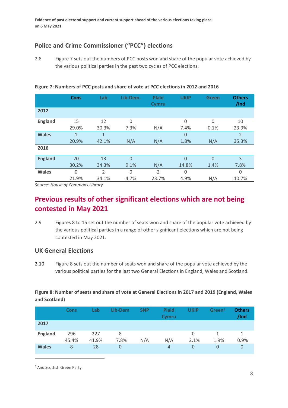# **Police and Crime Commissioner ("PCC") elections**

2.8 Figure 7 sets out the numbers of PCC posts won and share of the popular vote achieved by the various political parties in the past two cycles of PCC elections.

**Cons Lab Lib-Dem. Plaid Cymru UKIP Green Others /Ind 2012 England** 15 29.0% 12 30.3%  $\Omega$ 7.3% N/A  $\Omega$ 7.4%  $\Omega$ 0.1% 10 23.9% Wales 1 20.9% 1 42.1% N/A N/A  $\overline{0}$ 1.8% N/A 2 35.3% **2016** England 20 30.2% 13 34.3%  $\overline{0}$ 9.1% N/A  $\Omega$ 14.8%  $\Omega$ 1.4% 3 7.8% **Wales** 0 21.9% 2 34.1% 0 4.7% 2 23.7% 0 4.9% N/A 0 10.7%

**Figure 7: Numbers of PCC posts and share of vote at PCC elections in 2012 and 2016**

*Source: House of Commons Library*

# **Previous results of other significant elections which are not being contested in May 2021**

2.9 Figures 8 to 15 set out the number of seats won and share of the popular vote achieved by the various political parties in a range of other significant elections which are not being contested in May 2021.

## **UK General Elections**

2.10 Figure 8 sets out the number of seats won and share of the popular vote achieved by the various political parties for the last two General Elections in England, Wales and Scotland.

### **Figure 8: Number of seats and share of vote at General Elections in 2017 and 2019 (England, Wales and Scotland)**

|                | <b>Cons</b>  | Lab          | Lib-Dem   | <b>SNP</b> | <b>Plaid</b><br>Cymru | <b>UKIP</b> | Green <sup>5</sup> | <b>Others</b><br>/Ind |
|----------------|--------------|--------------|-----------|------------|-----------------------|-------------|--------------------|-----------------------|
| 2017           |              |              |           |            |                       |             |                    |                       |
| <b>England</b> | 296<br>45.4% | 227<br>41.9% | 8<br>7.8% | N/A        | N/A                   | 0<br>2.1%   | 1.9%               | 0.9%                  |
| <b>Wales</b>   | 8            | 28           | 0         |            | 4                     | 0           | 0                  | 0                     |

<span id="page-9-0"></span><sup>5</sup> And Scottish Green Party.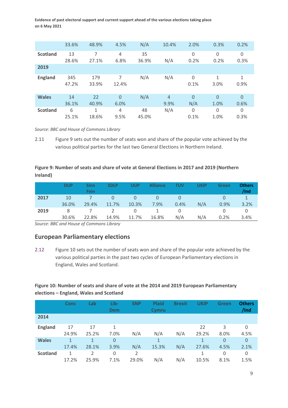|                 | 33.6%        | 48.9%        | 4.5%                   | N/A         | 10.4%                  | 2.0%            | 0.3%             | 0.2%                   |
|-----------------|--------------|--------------|------------------------|-------------|------------------------|-----------------|------------------|------------------------|
| <b>Scotland</b> | 13<br>28.6%  | 7<br>27.1%   | $\overline{4}$<br>6.8% | 35<br>36.9% | N/A                    | 0<br>0.2%       | 0<br>0.2%        | 0<br>0.3%              |
| 2019            |              |              |                        |             |                        |                 |                  |                        |
| <b>England</b>  | 345<br>47.2% | 179<br>33.9% | 7<br>12.4%             | N/A         | N/A                    | 0<br>0.1%       | 1<br>3.0%        | 1<br>0.9%              |
| <b>Wales</b>    | 14<br>36.1%  | 22<br>40.9%  | $\Omega$<br>6.0%       | N/A         | $\overline{4}$<br>9.9% | $\Omega$<br>N/A | $\Omega$<br>1.0% | $\overline{0}$<br>0.6% |
| <b>Scotland</b> | 6<br>25.1%   | 1<br>18.6%   | $\overline{4}$<br>9.5% | 48<br>45.0% | N/A                    | 0<br>0.1%       | 0<br>1.0%        | 0<br>0.3%              |

*Source: BBC and House of Commons Library*

2.11 Figure 9 sets out the number of seats won and share of the popular vote achieved by the various political parties for the last two General Elections in Northern Ireland.

#### **Figure 9: Number of seats and share of vote at General Elections in 2017 and 2019 (Northern Ireland)**

|      | <b>DUP</b> | Sinn<br>Fein | <b>SDLP</b> | UUP      | <b>Alliance</b> | τυν  | UKIP | Green | <b>Others</b><br>/Ind |
|------|------------|--------------|-------------|----------|-----------------|------|------|-------|-----------------------|
| 2017 | 10         |              | O           | 0        |                 |      |      |       |                       |
|      | 36.0%      | 29.4%        | 11.7%       | 10.3%    | 7.9%            | 0.4% | N/A  | 0.9%  | 3.2%                  |
| 2019 | 8          |              |             | $\Omega$ |                 |      |      |       |                       |
|      | 30.6%      | 22.8%        | 14.9%       | 11.7%    | 16.8%           | N/A  | N/A  | 0.2%  | 3.4%                  |

*Source: BBC and House of Commons Library*

### **European Parliamentary elections**

2.12 Figure 10 sets out the number of seats won and share of the popular vote achieved by the various political parties in the past two cycles of European Parliamentary elections in England, Wales and Scotland.

#### **Figure 10: Number of seats and share of vote at the 2014 and 2019 European Parliamentary elections – England, Wales and Scotland**

|                 | <b>Cons</b> | Lab                     | Lib-<br><b>Dem</b>   | <b>SNP</b> | <b>Plaid</b><br>Cymru | <b>Brexit</b> | UKIP        | Green                  | <b>Others</b><br>/Ind |
|-----------------|-------------|-------------------------|----------------------|------------|-----------------------|---------------|-------------|------------------------|-----------------------|
| 2014            |             |                         |                      |            |                       |               |             |                        |                       |
| <b>England</b>  | 17<br>24.9% | 17<br>25.2%             | $\mathbf{1}$<br>7.0% | N/A        | N/A                   | N/A           | 22<br>29.2% | 3<br>8.0%              | 0<br>4.5%             |
| <b>Wales</b>    | 1<br>17.4%  | 1<br>28.1%              | $\mathbf{0}$<br>3.9% | N/A        | 1<br>15.3%            | N/A           | 1<br>27.6%  | $\overline{0}$<br>4.5% | 0<br>2.1%             |
| <b>Scotland</b> | 1<br>17.2%  | $\mathfrak{D}$<br>25.9% | 0<br>7.1%            | 2<br>29.0% | N/A                   | N/A           | 1<br>10.5%  | 0<br>8.1%              | 0<br>1.5%             |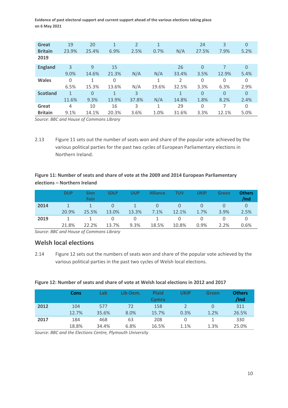| Great           | 19           | 20           | $\mathbf{1}$ | 2     | 1     |       | 24          | 3        | $\Omega$ |
|-----------------|--------------|--------------|--------------|-------|-------|-------|-------------|----------|----------|
| <b>Britain</b>  | 23.9%        | 25.4%        | 6.9%         | 2.5%  | 0.7%  | N/A   | 27.5%       | 7.9%     | 5.2%     |
| 2019            |              |              |              |       |       |       |             |          |          |
| <b>England</b>  | 3            | 9            | 15           |       |       | 26    | $\Omega$    |          | $\Omega$ |
|                 | 9.0%         | 14.6%        | 21.3%        | N/A   | N/A   | 33.4% | 3.5%        | 12.9%    | 5.4%     |
| <b>Wales</b>    | $\Omega$     | $\mathbf{1}$ | 0            |       | 1     | 2     | $\mathbf 0$ | 0        | 0        |
|                 | 6.5%         | 15.3%        | 13.6%        | N/A   | 19.6% | 32.5% | 3.3%        | 6.3%     | 2.9%     |
| <b>Scotland</b> | $\mathbf{1}$ | $\Omega$     | $\mathbf{1}$ | 3     |       | 1     | $\Omega$    | $\Omega$ | $\Omega$ |
|                 | 11.6%        | 9.3%         | 13.9%        | 37.8% | N/A   | 14.8% | 1.8%        | 8.2%     | 2.4%     |
| Great           | 4            | 10           | 16           | 3     | 1     | 29    | $\Omega$    | 7        | 0        |
| <b>Britain</b>  | 9.1%         | 14.1%        | 20.3%        | 3.6%  | 1.0%  | 31.6% | 3.3%        | 12.1%    | 5.0%     |

*Source: BBC and House of Commons Library*

2.13 Figure 11 sets out the number of seats won and share of the popular vote achieved by the various political parties for the past two cycles of European Parliamentary elections in Northern Ireland.

## **Figure 11: Number of seats and share of vote at the 2009 and 2014 European Parliamentary elections – Northern Ireland**

|      | <b>DUP</b> | Sinn<br>Fein | <b>SDLP</b> | UUP   | <b>Alliance</b> | TUV   | UKIP | Green | <b>Others</b><br>/Ind |
|------|------------|--------------|-------------|-------|-----------------|-------|------|-------|-----------------------|
| 2014 |            |              |             |       |                 |       |      |       |                       |
|      | 20.9%      | 25.5%        | 13.0%       | 13.3% | 7.1%            | 12.1% | 1.7% | 3.9%  | 2.5%                  |
| 2019 |            |              | Ü           | O     |                 |       |      |       |                       |
|      | 21.8%      | 22.2%        | 13.7%       | 9.3%  | 18.5%           | 10.8% | 0.9% | 2.2%  | 0.6%                  |

*Source: BBC and House of Commons Library*

## **Welsh local elections**

2.14 Figure 12 sets out the numbers of seats won and share of the popular vote achieved by the various political parties in the past two cycles of Welsh local elections.

#### **Figure 12: Number of seats and share of vote at Welsh local elections in 2012 and 2017**

|      | Cons  | $\mathsf{Lab}$ | Lib-Dem. | <b>Plaid</b><br>Cymru | UKIP | Green | <b>Others</b><br>/Ind |
|------|-------|----------------|----------|-----------------------|------|-------|-----------------------|
| 2012 | 104   | 577            | 72       | 158                   |      |       | 311                   |
|      | 12.7% | 35.6%          | 8.0%     | 15.7%                 | 0.3% | 1.2%  | 26.5%                 |
| 2017 | 184   | 468            | 63       | 208                   |      |       | 330                   |
|      | 18.8% | 34.4%          | 6.8%     | 16.5%                 | 1.1% | 1.3%  | 25.0%                 |

*Source: BBC and the Elections Centre, Plymouth University*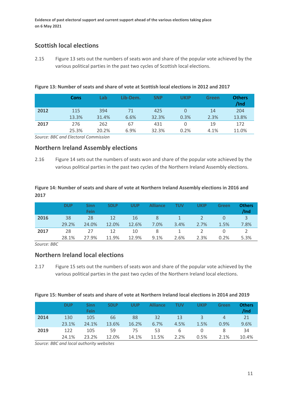## **Scottish local elections**

2.15 Figure 13 sets out the numbers of seats won and share of the popular vote achieved by the various political parties in the past two cycles of Scottish local elections.

**Figure 13: Number of seats and share of vote at Scottish local elections in 2012 and 2017**

|      | <b>Cons</b> | Lab   | Lib-Dem. | <b>SNP</b> | UKIP | Green | <b>Others</b><br>/Ind |
|------|-------------|-------|----------|------------|------|-------|-----------------------|
| 2012 | 115         | 394   | 71       | 425        |      | 14    | 204                   |
|      | 13.3%       | 31.4% | 6.6%     | 32.3%      | 0.3% | 2.3%  | 13.8%                 |
| 2017 | 276         | 262   | 67       | 431        |      | 19    | 172                   |
|      | 25.3%       | 20.2% | 6.9%     | 32.3%      | 0.2% | 4.1%  | 11.0%                 |

*Source: BBC and Electoral Commission*

## **Northern Ireland Assembly elections**

2.16 Figure 14 sets out the numbers of seats won and share of the popular vote achieved by the various political parties in the past two cycles of the Northern Ireland Assembly elections.

#### **Figure 14: Number of seats and share of vote at Northern Ireland Assembly elections in 2016 and 2017**

|      | <b>DUP</b> | Sinn<br><b>Fein</b> | <b>SDLP</b> | UUP   | <b>Alliance</b> | TUV  | UKIP | Green | <b>Others</b><br>/Ind |
|------|------------|---------------------|-------------|-------|-----------------|------|------|-------|-----------------------|
| 2016 | 38         | 28                  | 12          | 16    | 8               |      |      | 0     | 3                     |
|      | 29.2%      | 24.0%               | 12.0%       | 12.6% | $7.0\%$         | 3.4% | 2.7% | 1.5%  | 7.8%                  |
| 2017 | 28         | 27                  | 12          | 10    | 8               |      |      |       |                       |
|      | 28.1%      | 27.9%               | 11.9%       | 12.9% | 9.1%            | 2.6% | 2.3% | 0.2%  | 5.3%                  |

*Source: BBC*

### **Northern Ireland local elections**

2.17 Figure 15 sets out the numbers of seats won and share of the popular vote achieved by the various political parties in the past two cycles of the Northern Ireland local elections.

| Figure 15: Number of seats and share of vote at Northern Ireland local elections in 2014 and 2019 |  |
|---------------------------------------------------------------------------------------------------|--|
|---------------------------------------------------------------------------------------------------|--|

|      | <b>DUP</b> | Sinn<br>Fein | <b>SDLP</b> | UUP   | <b>Alliance</b> | τυν  | UKIP | Green | <b>Others</b><br>/Ind |
|------|------------|--------------|-------------|-------|-----------------|------|------|-------|-----------------------|
| 2014 | 130        | 105          | 66          | 88    | 32              | 13   | 3    | 4     | 21                    |
|      | 23.1%      | 24.1%        | 13.6%       | 16.2% | 6.7%            | 4.5% | 1.5% | 0.9%  | 9.6%                  |
| 2019 | 122        | 105          | 59          | 75    | 53              | 6    |      | 8     | 34                    |
|      | 24.1%      | 23.2%        | 12.0%       | 14.1% | 11.5%           | 2.2% | 0.5% | 2.1%  | 10.4%                 |

*Source: BBC and local authority websites*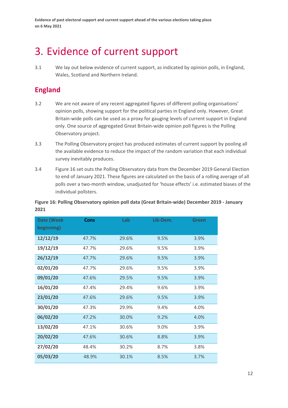# <span id="page-13-0"></span>3. Evidence of current support

3.1 We lay out below evidence of current support, as indicated by opinion polls, in England, Wales, Scotland and Northern Ireland.

# **England**

- 3.2 We are not aware of any recent aggregated figures of different polling organisations' opinion polls, showing support for the political parties in England only. However, Great Britain-wide polls can be used as a proxy for gauging levels of current support in England only. One source of aggregated Great Britain-wide opinion poll figures is the Polling Observatory project.
- 3.3 The Polling Observatory project has produced estimates of current support by pooling all the available evidence to reduce the impact of the random variation that each individual survey inevitably produces.
- 3.4 Figure 16 set outs the Polling Observatory data from the December 2019 General Election to end of January 2021. These figures are calculated on the basis of a rolling average of all polls over a two-month window, unadjusted for 'house effects' i.e. estimated biases of the individual pollsters.

**Figure 16: Polling Observatory opinion poll data (Great Britain-wide) December 2019 - January 2021**

| <b>Date (Week</b><br>beginning) | <b>Cons</b> | Lab   | Lib-Dem. | Green |
|---------------------------------|-------------|-------|----------|-------|
| 12/12/19                        | 47.7%       | 29.6% | 9.5%     | 3.9%  |
| 19/12/19                        | 47.7%       | 29.6% | 9.5%     | 3.9%  |
| 26/12/19                        | 47.7%       | 29.6% | 9.5%     | 3.9%  |
| 02/01/20                        | 47.7%       | 29.6% | 9.5%     | 3.9%  |
| 09/01/20                        | 47.6%       | 29.5% | 9.5%     | 3.9%  |
| 16/01/20                        | 47.4%       | 29.4% | 9.6%     | 3.9%  |
| 23/01/20                        | 47.6%       | 29.6% | 9.5%     | 3.9%  |
| 30/01/20                        | 47.3%       | 29.9% | 9.4%     | 4.0%  |
| 06/02/20                        | 47.2%       | 30.0% | 9.2%     | 4.0%  |
| 13/02/20                        | 47.1%       | 30.6% | 9.0%     | 3.9%  |
| 20/02/20                        | 47.6%       | 30.6% | 8.8%     | 3.9%  |
| 27/02/20                        | 48.4%       | 30.2% | 8.7%     | 3.8%  |
| 05/03/20                        | 48.9%       | 30.1% | 8.5%     | 3.7%  |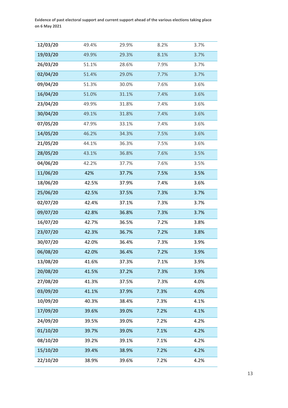| 12/03/20 | 49.4% | 29.9% | 8.2% | 3.7% |
|----------|-------|-------|------|------|
| 19/03/20 | 49.9% | 29.3% | 8.1% | 3.7% |
| 26/03/20 | 51.1% | 28.6% | 7.9% | 3.7% |
| 02/04/20 | 51.4% | 29.0% | 7.7% | 3.7% |
| 09/04/20 | 51.3% | 30.0% | 7.6% | 3.6% |
| 16/04/20 | 51.0% | 31.1% | 7.4% | 3.6% |
| 23/04/20 | 49.9% | 31.8% | 7.4% | 3.6% |
| 30/04/20 | 49.1% | 31.8% | 7.4% | 3.6% |
| 07/05/20 | 47.9% | 33.1% | 7.4% | 3.6% |
| 14/05/20 | 46.2% | 34.3% | 7.5% | 3.6% |
| 21/05/20 | 44.1% | 36.3% | 7.5% | 3.6% |
| 28/05/20 | 43.1% | 36.8% | 7.6% | 3.5% |
| 04/06/20 | 42.2% | 37.7% | 7.6% | 3.5% |
| 11/06/20 | 42%   | 37.7% | 7.5% | 3.5% |
| 18/06/20 | 42.5% | 37.9% | 7.4% | 3.6% |
| 25/06/20 | 42.5% | 37.5% | 7.3% | 3.7% |
| 02/07/20 | 42.4% | 37.1% | 7.3% | 3.7% |
| 09/07/20 | 42.8% | 36.8% | 7.3% | 3.7% |
| 16/07/20 | 42.7% | 36.5% | 7.2% | 3.8% |
| 23/07/20 | 42.3% | 36.7% | 7.2% | 3.8% |
| 30/07/20 | 42.0% | 36.4% | 7.3% | 3.9% |
| 06/08/20 | 42.0% | 36.4% | 7.2% | 3.9% |
| 13/08/20 | 41.6% | 37.3% | 7.1% | 3.9% |
| 20/08/20 | 41.5% | 37.2% | 7.3% | 3.9% |
| 27/08/20 | 41.3% | 37.5% | 7.3% | 4.0% |
| 03/09/20 | 41.1% | 37.9% | 7.3% | 4.0% |
| 10/09/20 | 40.3% | 38.4% | 7.3% | 4.1% |
| 17/09/20 | 39.6% | 39.0% | 7.2% | 4.1% |
| 24/09/20 | 39.5% | 39.0% | 7.2% | 4.2% |
| 01/10/20 | 39.7% | 39.0% | 7.1% | 4.2% |
| 08/10/20 | 39.2% | 39.1% | 7.1% | 4.2% |
| 15/10/20 | 39.4% | 38.9% | 7.2% | 4.2% |
| 22/10/20 | 38.9% | 39.6% | 7.2% | 4.2% |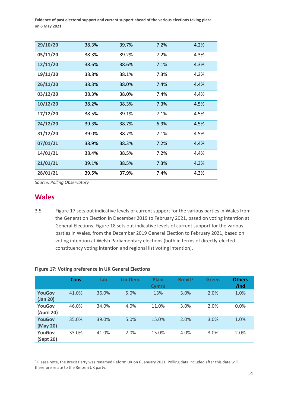| 29/10/20 | 38.3% | 39.7% | 7.2% | 4.2% |
|----------|-------|-------|------|------|
| 05/11/20 | 38.3% | 39.2% | 7.2% | 4.3% |
| 12/11/20 | 38.6% | 38.6% | 7.1% | 4.3% |
| 19/11/20 | 38.8% | 38.1% | 7.3% | 4.3% |
| 26/11/20 | 38.3% | 38.0% | 7.4% | 4.4% |
| 03/12/20 | 38.3% | 38.0% | 7.4% | 4.4% |
| 10/12/20 | 38.2% | 38.3% | 7.3% | 4.5% |
| 17/12/20 | 38.5% | 39.1% | 7.1% | 4.5% |
| 24/12/20 | 39.3% | 38.7% | 6.9% | 4.5% |
| 31/12/20 | 39.0% | 38.7% | 7.1% | 4.5% |
| 07/01/21 | 38.9% | 38.3% | 7.2% | 4.4% |
| 14/01/21 | 38.4% | 38.5% | 7.2% | 4.4% |
| 21/01/21 | 39.1% | 38.5% | 7.3% | 4.3% |
| 28/01/21 | 39.5% | 37.9% | 7.4% | 4.3% |

*Source: Polling Observatory*

## **Wales**

3.5 Figure 17 sets out indicative levels of current support for the various parties in Wales from the Generation Election in December 2019 to February 2021, based on voting intention at General Elections. Figure 18 sets out indicative levels of current support for the various parties in Wales, from the December 2019 General Election to February 2021, based on voting intention at Welsh Parliamentary elections (both in terms of directly-elected constituency voting intention and regional list voting intention).

|                            | <b>Cons</b> | Lab   | Lib-Dem. | <b>Plaid</b><br>Cymru | Brexit <sup>6</sup> | <b>Green</b> | <b>Others</b><br>/Ind |
|----------------------------|-------------|-------|----------|-----------------------|---------------------|--------------|-----------------------|
| <b>YouGov</b><br>(Jan 20)  | 41.0%       | 36.0% | 5.0%     | 13%                   | 3.0%                | 2.0%         | 1.0%                  |
| YouGov<br>(April 20)       | 46.0%       | 34.0% | 4.0%     | 11.0%                 | 3.0%                | 2.0%         | 0.0%                  |
| <b>YouGov</b><br>(May 20)  | 35.0%       | 39.0% | 5.0%     | 15.0%                 | 2.0%                | 3.0%         | 1.0%                  |
| <b>YouGov</b><br>(Sept 20) | 33.0%       | 41.0% | 2.0%     | 15.0%                 | 4.0%                | 3.0%         | 2.0%                  |

#### **Figure 17: Voting preference in UK General Elections**

<span id="page-15-0"></span><sup>6</sup> Please note, the Brexit Party was renamed Reform UK on 6 January 2021. Polling data included after this date will therefore relate to the Reform UK party.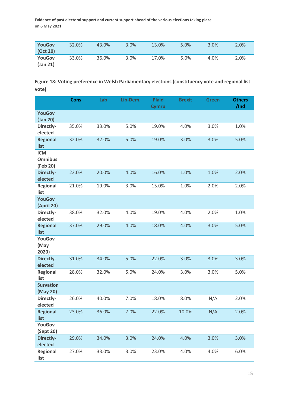| <b>YouGov</b>    | 32.0% | 43.0% | 3.0% | 13.0% | 5.0% | 3.0% | 2.0% |
|------------------|-------|-------|------|-------|------|------|------|
| $\left($ Oct 20) |       |       |      |       |      |      |      |
| <b>YouGov</b>    | 33.0% | 36.0% | 3.0% | 17.0% | 5.0% | 4.0% | 2.0% |
| $($ Jan 21 $)$   |       |       |      |       |      |      |      |

## **Figure 18: Voting preference in Welsh Parliamentary elections (constituency vote and regional list vote)**

|                                          | <b>Cons</b> | Lab   | Lib-Dem. | <b>Plaid</b><br><b>Cymru</b> | <b>Brexit</b> | <b>Green</b> | <b>Others</b><br>/Ind |
|------------------------------------------|-------------|-------|----------|------------------------------|---------------|--------------|-----------------------|
| <b>YouGov</b><br>(Jan 20)                |             |       |          |                              |               |              |                       |
| Directly-<br>elected                     | 35.0%       | 33.0% | 5.0%     | 19.0%                        | 4.0%          | 3.0%         | 1.0%                  |
| <b>Regional</b><br>list                  | 32.0%       | 32.0% | 5.0%     | 19.0%                        | 3.0%          | 3.0%         | 5.0%                  |
| <b>ICM</b><br><b>Omnibus</b><br>(Feb 20) |             |       |          |                              |               |              |                       |
| Directly-<br>elected                     | 22.0%       | 20.0% | 4.0%     | 16.0%                        | 1.0%          | 1.0%         | 2.0%                  |
| <b>Regional</b><br>list                  | 21.0%       | 19.0% | 3.0%     | 15.0%                        | 1.0%          | 2.0%         | 2.0%                  |
| <b>YouGov</b><br><b>(April 20)</b>       |             |       |          |                              |               |              |                       |
| Directly-<br>elected                     | 38.0%       | 32.0% | 4.0%     | 19.0%                        | 4.0%          | 2.0%         | 1.0%                  |
| <b>Regional</b><br>list                  | 37.0%       | 29.0% | 4.0%     | 18.0%                        | 4.0%          | 3.0%         | 5.0%                  |
| <b>YouGov</b><br>(May<br>2020)           |             |       |          |                              |               |              |                       |
| Directly-<br>elected                     | 31.0%       | 34.0% | 5.0%     | 22.0%                        | 3.0%          | 3.0%         | 3.0%                  |
| <b>Regional</b><br>list                  | 28.0%       | 32.0% | 5.0%     | 24.0%                        | 3.0%          | 3.0%         | 5.0%                  |
| <b>Survation</b><br>(May 20)             |             |       |          |                              |               |              |                       |
| Directly-<br>elected                     | 26.0%       | 40.0% | 7.0%     | 18.0%                        | 8.0%          | N/A          | 2.0%                  |
| <b>Regional</b><br>list                  | 23.0%       | 36.0% | 7.0%     | 22.0%                        | 10.0%         | N/A          | 2.0%                  |
| YouGov<br>(Sept 20)                      |             |       |          |                              |               |              |                       |
| Directly-<br>elected                     | 29.0%       | 34.0% | 3.0%     | 24.0%                        | 4.0%          | 3.0%         | 3.0%                  |
| Regional<br>list                         | 27.0%       | 33.0% | 3.0%     | 23.0%                        | 4.0%          | 4.0%         | 6.0%                  |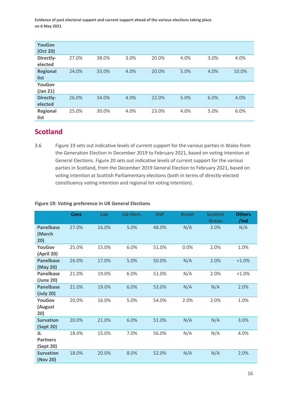| <b>YouGov</b>   |       |       |      |       |      |      |       |
|-----------------|-------|-------|------|-------|------|------|-------|
| (Oct 20)        |       |       |      |       |      |      |       |
| Directly-       | 27.0% | 38.0% | 3.0% | 20.0% | 4.0% | 3.0% | 4.0%  |
| elected         |       |       |      |       |      |      |       |
| <b>Regional</b> | 24.0% | 33.0% | 4.0% | 20.0% | 5.0% | 4.0% | 10.0% |
| list            |       |       |      |       |      |      |       |
| <b>YouGov</b>   |       |       |      |       |      |      |       |
| $($ Jan 21 $)$  |       |       |      |       |      |      |       |
| Directly-       | 26.0% | 34.0% | 4.0% | 22.0% | 5.0% | 6.0% | 4.0%  |
| elected         |       |       |      |       |      |      |       |
| <b>Regional</b> | 25.0% | 30.0% | 4.0% | 23.0% | 4.0% | 5.0% | 6.0%  |
| list            |       |       |      |       |      |      |       |

# **Scotland**

3.6 Figure 19 sets out indicative levels of current support for the various parties in Wales from the Generation Election in December 2019 to February 2021, based on voting intention at General Elections. Figure 20 sets out indicative levels of current support for the various parties in Scotland, from the December 2019 General Election to February 2021, based on voting intention at Scottish Parliamentary elections (both in terms of directly-elected constituency voting intention and regional list voting intention).

#### **Figure 19: Voting preference in UK General Elections**

|                                    | <b>Cons</b> | Lab   | Lib-Dem. | <b>SNP</b> | <b>Brexit</b> | <b>Scottish</b><br><b>Green</b> | <b>Others</b><br>/Ind |
|------------------------------------|-------------|-------|----------|------------|---------------|---------------------------------|-----------------------|
| <b>Panelbase</b><br>(March<br>20)  | 27.0%       | 16.0% | 5.0%     | 48.0%      | N/A           | 3.0%                            | N/A                   |
| YouGov<br>(April 20)               | 25.0%       | 15.0% | 6.0%     | 51.0%      | 0.0%          | 2.0%                            | 1.0%                  |
| <b>Panelbase</b><br>(May 20)       | 26.0%       | 17.0% | 5.0%     | 50.0%      | N/A           | 2.0%                            | $< 1.0\%$             |
| <b>Panelbase</b><br>(June 20)      | 21.0%       | 19.0% | 6.0%     | 51.0%      | N/A           | 2.0%                            | $< 1.0\%$             |
| <b>Panelbase</b><br>(July 20)      | 21.0%       | 19.0% | 6.0%     | 53.0%      | N/A           | N/A                             | 2.0%                  |
| YouGov<br>(August<br>20)           | 20.0%       | 16.0% | 5.0%     | 54.0%      | 2.0%          | 2.0%                            | 1.0%                  |
| <b>Survation</b><br>(Sept 20)      | 20.0%       | 21.0% | 6.0%     | 51.0%      | N/A           | N/A                             | 3.0%                  |
| JL<br><b>Partners</b><br>(Sept 20) | 18.0%       | 15.0% | 7.0%     | 56.0%      | N/A           | N/A                             | 4.0%                  |
| <b>Survation</b><br>(Nov 20)       | 18.0%       | 20.0% | 8.0%     | 52.0%      | N/A           | N/A                             | 2.0%                  |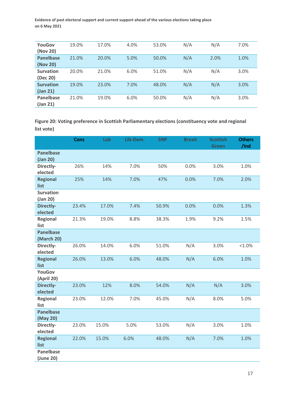| YouGov           | 19.0% | 17.0% | 4.0% | 53.0% | N/A | N/A  | 7.0% |
|------------------|-------|-------|------|-------|-----|------|------|
| (Nov 20)         |       |       |      |       |     |      |      |
| <b>Panelbase</b> | 21.0% | 20.0% | 5.0% | 50.0% | N/A | 2.0% | 1.0% |
| (Nov 20)         |       |       |      |       |     |      |      |
| <b>Survation</b> | 20.0% | 21.0% | 6.0% | 51.0% | N/A | N/A  | 3.0% |
| (Dec 20)         |       |       |      |       |     |      |      |
| <b>Survation</b> | 19.0% | 23.0% | 7.0% | 48.0% | N/A | N/A  | 3.0% |
| $($ Jan 21 $)$   |       |       |      |       |     |      |      |
| Panelbase        | 21.0% | 19.0% | 6.0% | 50.0% | N/A | N/A  | 3.0% |
| $($ Jan 21 $)$   |       |       |      |       |     |      |      |

**Figure 20: Voting preference in Scottish Parliamentary elections (constituency vote and regional list vote)**

|                                | <b>Cons</b> | Lab   | Lib-Dem. | <b>SNP</b> | <b>Brexit</b> | <b>Scottish</b><br><b>Green</b> | <b>Others</b><br>/Ind |
|--------------------------------|-------------|-------|----------|------------|---------------|---------------------------------|-----------------------|
| <b>Panelbase</b><br>(Jan 20)   |             |       |          |            |               |                                 |                       |
| Directly-<br>elected           | 26%         | 14%   | 7.0%     | 50%        | 0.0%          | 3.0%                            | 1.0%                  |
| <b>Regional</b><br>list        | 25%         | 14%   | 7.0%     | 47%        | 0.0%          | 7.0%                            | 2.0%                  |
| <b>Survation</b><br>(Jan 20)   |             |       |          |            |               |                                 |                       |
| Directly-<br>elected           | 23.4%       | 17.0% | 7.4%     | 50.9%      | 0.0%          | 0.0%                            | 1.3%                  |
| <b>Regional</b><br>list        | 21.3%       | 19.0% | 8.8%     | 38.3%      | 1.9%          | 9.2%                            | 1.5%                  |
| <b>Panelbase</b><br>(March 20) |             |       |          |            |               |                                 |                       |
| Directly-<br>elected           | 26.0%       | 14.0% | 6.0%     | 51.0%      | N/A           | 3.0%                            | $< 1.0\%$             |
| <b>Regional</b><br>list        | 26.0%       | 13.0% | 6.0%     | 48.0%      | N/A           | 6.0%                            | 1.0%                  |
| <b>YouGov</b><br>(April 20)    |             |       |          |            |               |                                 |                       |
| <b>Directly-</b><br>elected    | 23.0%       | 12%   | 8.0%     | 54.0%      | N/A           | N/A                             | 3.0%                  |
| Regional<br>list               | 23.0%       | 12.0% | 7.0%     | 45.0%      | N/A           | 8.0%                            | 5.0%                  |
| <b>Panelbase</b><br>(May 20)   |             |       |          |            |               |                                 |                       |
| Directly-<br>elected           | 23.0%       | 15.0% | 5.0%     | 53.0%      | N/A           | 3.0%                            | 1.0%                  |
| <b>Regional</b><br>list        | 22.0%       | 15.0% | 6.0%     | 48.0%      | N/A           | 7.0%                            | 1.0%                  |
| Panelbase<br>(June 20)         |             |       |          |            |               |                                 |                       |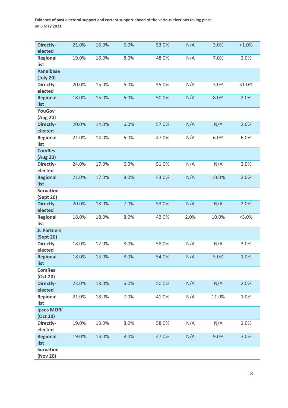| Directly-<br>elected            | 21.0% | 16.0% | 6.0% | 53.0% | N/A  | 3.0%  | $< 1.0\%$ |
|---------------------------------|-------|-------|------|-------|------|-------|-----------|
| Regional<br>list                | 19.0% | 16.0% | 8.0% | 48.0% | N/A  | 7.0%  | 2.0%      |
| <b>Panelbase</b><br>(July 20)   |       |       |      |       |      |       |           |
| Directly-<br>elected            | 20.0% | 15.0% | 6.0% | 55.0% | N/A  | 3.0%  | $< 1.0\%$ |
| <b>Regional</b><br>list         | 18.0% | 15.0% | 6.0% | 50.0% | N/A  | 8.0%  | 2.0%      |
| <b>YouGov</b><br>(Aug 20)       |       |       |      |       |      |       |           |
| Directly-<br>elected            | 20.0% | 14.0% | 6.0% | 57.0% | N/A  | N/A   | 2.0%      |
| Regional<br>list                | 21.0% | 14.0% | 6.0% | 47.0% | N/A  | 6.0%  | 6.0%      |
| <b>ComRes</b><br>(Aug 20)       |       |       |      |       |      |       |           |
| Directly-<br>elected            | 24.0% | 17.0% | 6.0% | 51.0% | N/A  | N/A   | 2.0%      |
| <b>Regional</b><br>list         | 21.0% | 17.0% | 8.0% | 43.0% | N/A  | 10.0% | 2.0%      |
| <b>Survation</b><br>(Sept 20)   |       |       |      |       |      |       |           |
| <b>Directly-</b><br>elected     | 20.0% | 18.0% | 7.0% | 53.0% | N/A  | N/A   | 2.0%      |
| <b>Regional</b><br>list         | 18.0% | 18.0% | 8.0% | 42.0% | 2.0% | 10.0% | $< 3.0\%$ |
| <b>JL Partners</b><br>(Sept 20) |       |       |      |       |      |       |           |
| Directly-<br>elected            | 18.0% | 12.0% | 8.0% | 58.0% | N/A  | N/A   | 3.0%      |
| <b>Regional</b><br>list         | 18.0% | 13.0% | 8.0% | 54.0% | N/A  | 5.0%  | 1.0%      |
| <b>ComRes</b><br>(Oct 20)       |       |       |      |       |      |       |           |
| Directly-<br>elected            | 23.0% | 18.0% | 6.0% | 50.0% | N/A  | N/A   | 2.0%      |
| <b>Regional</b><br>list         | 21.0% | 18.0% | 7.0% | 41.0% | N/A  | 11.0% | 1.0%      |
| <b>Ipsos MORI</b><br>(Oct 20)   |       |       |      |       |      |       |           |
| Directly-<br>elected            | 19.0% | 13.0% | 8.0% | 58.0% | N/A  | N/A   | 2.0%      |
| <b>Regional</b><br>list         | 19.0% | 13.0% | 8.0% | 47.0% | N/A  | 9.0%  | 3.0%      |
| <b>Survation</b><br>(Nov 20)    |       |       |      |       |      |       |           |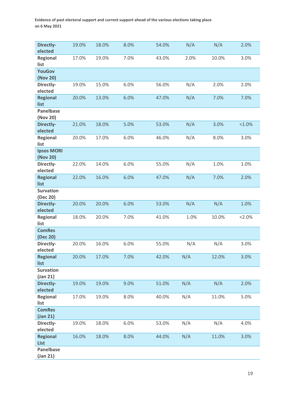| Directly-<br>elected                 | 19.0% | 18.0% | 8.0% | 54.0% | N/A  | N/A   | 2.0%      |
|--------------------------------------|-------|-------|------|-------|------|-------|-----------|
| <b>Regional</b><br>list              | 17.0% | 19.0% | 7.0% | 43.0% | 2.0% | 10.0% | 3.0%      |
| <b>YouGov</b><br>(Nov 20)            |       |       |      |       |      |       |           |
| Directly-<br>elected                 | 19.0% | 15.0% | 6.0% | 56.0% | N/A  | 2.0%  | 2.0%      |
| <b>Regional</b>                      | 20.0% | 13.0% | 6.0% | 47.0% | N/A  | 7.0%  | 7.0%      |
| list<br><b>Panelbase</b><br>(Nov 20) |       |       |      |       |      |       |           |
| Directly-<br>elected                 | 21.0% | 18.0% | 5.0% | 53.0% | N/A  | 3.0%  | $< 1.0\%$ |
| Regional<br>list                     | 20.0% | 17.0% | 6.0% | 46.0% | N/A  | 8.0%  | 3.0%      |
| <b>Ipsos MORI</b><br>(Nov 20)        |       |       |      |       |      |       |           |
| Directly-<br>elected                 | 22.0% | 14.0% | 6.0% | 55.0% | N/A  | 1.0%  | 1.0%      |
| <b>Regional</b><br>list              | 22.0% | 16.0% | 6.0% | 47.0% | N/A  | 7.0%  | 2.0%      |
| <b>Survation</b><br>(Dec 20)         |       |       |      |       |      |       |           |
| Directly-<br>elected                 | 20.0% | 20.0% | 6.0% | 53.0% | N/A  | N/A   | 1.0%      |
| Regional<br>list                     | 18.0% | 20.0% | 7.0% | 41.0% | 1.0% | 10.0% | 2.0%      |
| <b>ComRes</b><br>(Dec 20)            |       |       |      |       |      |       |           |
| Directly-<br>elected                 | 20.0% | 16.0% | 6.0% | 55.0% | N/A  | N/A   | 3.0%      |
| <b>Regional</b><br>list              | 20.0% | 17.0% | 7.0% | 42.0% | N/A  | 12.0% | 3.0%      |
| <b>Survation</b><br>(Jan 21)         |       |       |      |       |      |       |           |
| Directly-<br>elected                 | 19.0% | 19.0% | 9.0% | 51.0% | N/A  | N/A   | 2.0%      |
| <b>Regional</b><br>list              | 17.0% | 19.0% | 8.0% | 40.0% | N/A  | 11.0% | 5.0%      |
| <b>ComRes</b><br>$($ Jan 21 $)$      |       |       |      |       |      |       |           |
| Directly-<br>elected                 | 19.0% | 18.0% | 6.0% | 53.0% | N/A  | N/A   | 4.0%      |
| <b>Regional</b><br><b>List</b>       | 16.0% | 18.0% | 8.0% | 44.0% | N/A  | 11.0% | 3.0%      |
| <b>Panelbase</b><br>$($ Jan 21 $)$   |       |       |      |       |      |       |           |